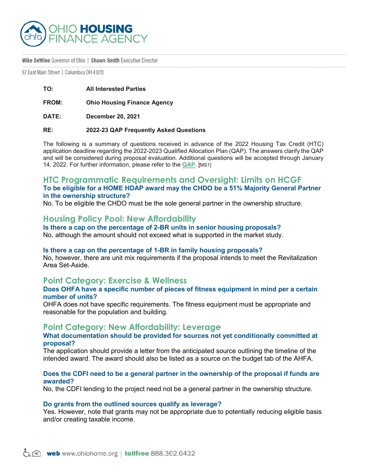

#### Mike DeWine Governor of Ohio | Shawn Smith Executive Director

57 East Main Street | Columbus 0H 43215

**TO: All Interested Parties**

**FROM: Ohio Housing Finance Agency**

**DATE: December 20, 2021**

#### **RE: 2022-23 QAP Frequently Asked Questions**

The following is a summary of questions received in advance of the 2022 Housing Tax Credit (HTC) application deadline regarding the 2022-2023 Qualified Allocation Plan (QAP). The answers clarify the QAP and will be considered during proposal evaluation. Additional questions will be accepted through January 14, 2022. For further information, please refer to the **[QAP](https://ohiohome.org/ppd/documents/2022-2023-QAP.pdf)**. [MS1]

### **HTC Programmatic Requirements and Oversight: Limits on HCGF To be eligible for a HOME HDAP award may the CHDO be a 51% Majority General Partner in the ownership structure?**

No. To be eligible the CHDO must be the sole general partner in the ownership structure.

## **Housing Policy Pool: New Affordability**

#### **Is there a cap on the percentage of 2-BR units in senior housing proposals?**

No, although the amount should not exceed what is supported in the market study.

#### **Is there a cap on the percentage of 1-BR in family housing proposals?**

No, however, there are unit mix requirements if the proposal intends to meet the Revitalization Area Set-Aside.

### **Point Category: Exercise & Wellness**

#### **Does OHFA have a specific number of pieces of fitness equipment in mind per a certain number of units?**

OHFA does not have specific requirements. The fitness equipment must be appropriate and reasonable for the population and building.

### **Point Category: New Affordability: Leverage**

#### **What documentation should be provided for sources not yet conditionally committed at proposal?**

The application should provide a letter from the anticipated source outlining the timeline of the intended award. The award should also be listed as a source on the budget tab of the AHFA.

#### **Does the CDFI need to be a general partner in the ownership of the proposal if funds are awarded?**

No, the CDFI lending to the project need not be a general partner in the ownership structure.

#### **Do grants from the outlined sources qualify as leverage?**

Yes. However, note that grants may not be appropriate due to potentially reducing eligible basis and/or creating taxable income.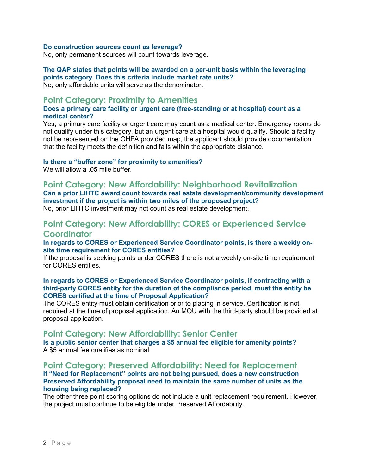#### **Do construction sources count as leverage?**

No, only permanent sources will count towards leverage.

# **The QAP states that points will be awarded on a per-unit basis within the leveraging points category. Does this criteria include market rate units?**

No, only affordable units will serve as the denominator.

## **Point Category: Proximity to Amenities**

### **Does a primary care facility or urgent care (free-standing or at hospital) count as a medical center?**

Yes, a primary care facility or urgent care may count as a medical center. Emergency rooms do not qualify under this category, but an urgent care at a hospital would qualify. Should a facility not be represented on the OHFA provided map, the applicant should provide documentation that the facility meets the definition and falls within the appropriate distance.

### **Is there a "buffer zone" for proximity to amenities?**

We will allow a .05 mile buffer.

## **Point Category: New Affordability: Neighborhood Revitalization**

**Can a prior LIHTC award count towards real estate development/community development investment if the project is within two miles of the proposed project?**  No, prior LIHTC investment may not count as real estate development.

# **Point Category: New Affordability: CORES or Experienced Service Coordinator**

#### **In regards to CORES or Experienced Service Coordinator points, is there a weekly onsite time requirement for CORES entities?**

If the proposal is seeking points under CORES there is not a weekly on-site time requirement for CORES entities.

#### **In regards to CORES or Experienced Service Coordinator points, if contracting with a third-party CORES entity for the duration of the compliance period, must the entity be CORES certified at the time of Proposal Application?**

The CORES entity must obtain certification prior to placing in service. Certification is not required at the time of proposal application. An MOU with the third-party should be provided at proposal application.

## **Point Category: New Affordability: Senior Center**

**Is a public senior center that charges a \$5 annual fee eligible for amenity points?** A \$5 annual fee qualifies as nominal.

### **Point Category: Preserved Affordability: Need for Replacement If "Need for Replacement" points are not being pursued, does a new construction Preserved Affordability proposal need to maintain the same number of units as the housing being replaced?**

The other three point scoring options do not include a unit replacement requirement. However, the project must continue to be eligible under Preserved Affordability.